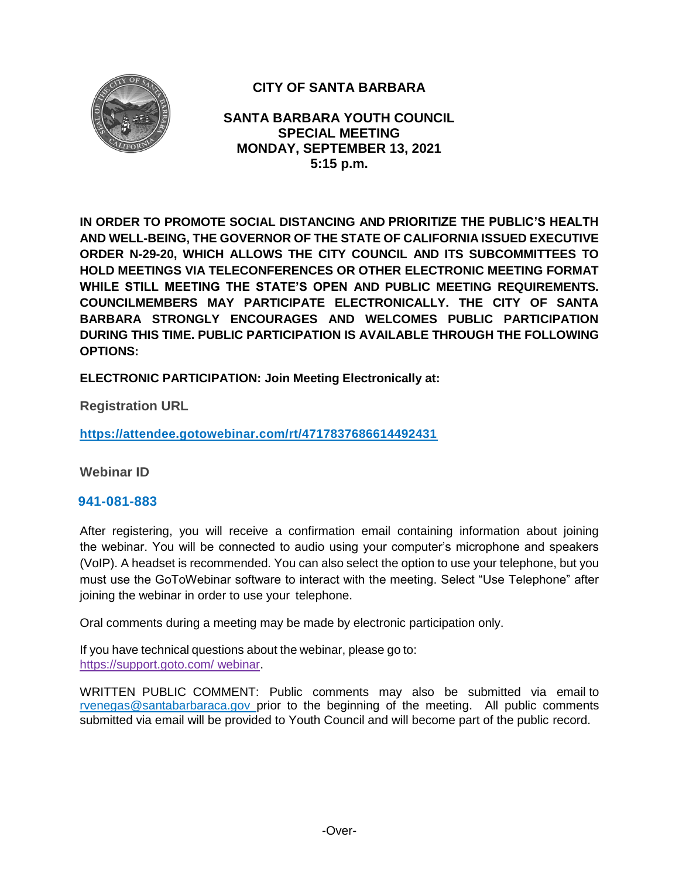

# **CITY OF SANTA BARBARA**

**SANTA BARBARA YOUTH COUNCIL SPECIAL MEETING MONDAY, SEPTEMBER 13, 2021 5:15 p.m.**

**IN ORDER TO PROMOTE SOCIAL DISTANCING AND PRIORITIZE THE PUBLIC'S HEALTH AND WELL-BEING, THE GOVERNOR OF THE STATE OF CALIFORNIA ISSUED EXECUTIVE ORDER N-29-20, WHICH ALLOWS THE CITY COUNCIL AND ITS SUBCOMMITTEES TO HOLD MEETINGS VIA TELECONFERENCES OR OTHER ELECTRONIC MEETING FORMAT WHILE STILL MEETING THE STATE'S OPEN AND PUBLIC MEETING REQUIREMENTS. COUNCILMEMBERS MAY PARTICIPATE ELECTRONICALLY. THE CITY OF SANTA BARBARA STRONGLY ENCOURAGES AND WELCOMES PUBLIC PARTICIPATION DURING THIS TIME. PUBLIC PARTICIPATION IS AVAILABLE THROUGH THE FOLLOWING OPTIONS:**

**ELECTRONIC PARTICIPATION: Join Meeting Electronically at:** 

**Registration URL** 

**<https://attendee.gotowebinar.com/rt/4717837686614492431>**

**Webinar ID**

#### **941-081-883**

After registering, you will receive a confirmation email containing information about joining the webinar. You will be connected to audio using your computer's microphone and speakers (VoIP). A headset is recommended. You can also select the option to use your telephone, but you must use the GoToWebinar software to interact with the meeting. Select "Use Telephone" after joining the webinar in order to use your telephone.

Oral comments during a meeting may be made by electronic participation only.

If you have technical questions about the webinar, please go to: https://support.goto.com/ webinar.

[WRITTEN PUBLIC COMMENT:](mailto:rvenegas@santabarbaraca.gov) Public comments may also be submitted via email to [rvenegas@santabarbaraca.gov](mailto:rvenegas@santabarbaraca.gov) prior to the beginning of the meeting. All public comments submitted via email will be provided to Youth Council and will become part of the public record.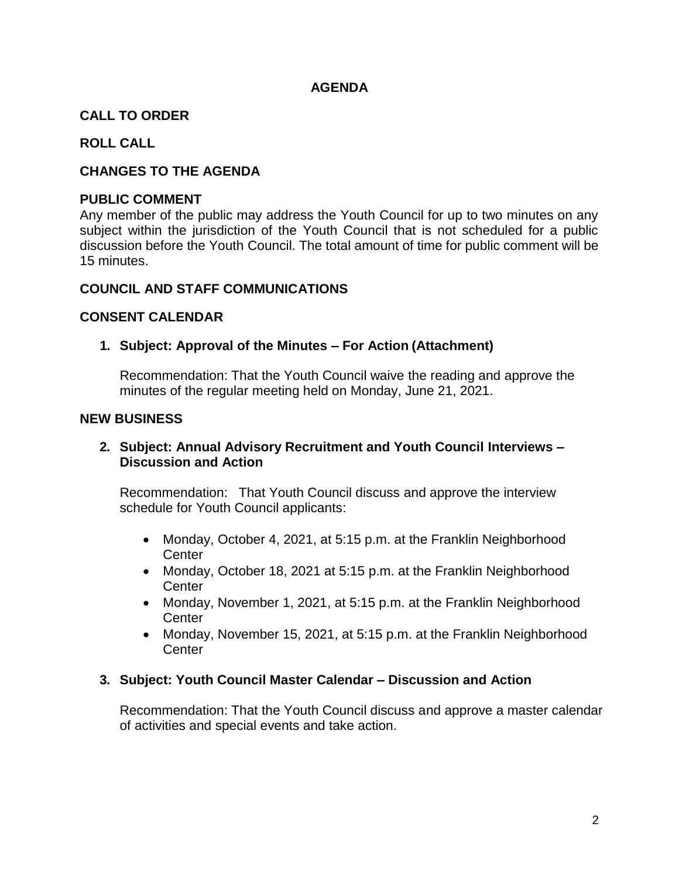## **AGENDA**

# **CALL TO ORDER**

## **ROLL CALL**

## **CHANGES TO THE AGENDA**

#### **PUBLIC COMMENT**

Any member of the public may address the Youth Council for up to two minutes on any subject within the jurisdiction of the Youth Council that is not scheduled for a public discussion before the Youth Council. The total amount of time for public comment will be 15 minutes.

#### **COUNCIL AND STAFF COMMUNICATIONS**

#### **CONSENT CALENDAR**

#### **1. Subject: Approval of the Minutes – For Action (Attachment)**

Recommendation: That the Youth Council waive the reading and approve the minutes of the regular meeting held on Monday, June 21, 2021.

#### **NEW BUSINESS**

## **2. Subject: Annual Advisory Recruitment and Youth Council Interviews – Discussion and Action**

Recommendation: That Youth Council discuss and approve the interview schedule for Youth Council applicants:

- Monday, October 4, 2021, at 5:15 p.m. at the Franklin Neighborhood **Center**
- Monday, October 18, 2021 at 5:15 p.m. at the Franklin Neighborhood **Center**
- Monday, November 1, 2021, at 5:15 p.m. at the Franklin Neighborhood **Center**
- Monday, November 15, 2021, at 5:15 p.m. at the Franklin Neighborhood **Center**

#### **3. Subject: Youth Council Master Calendar – Discussion and Action**

Recommendation: That the Youth Council discuss and approve a master calendar of activities and special events and take action.